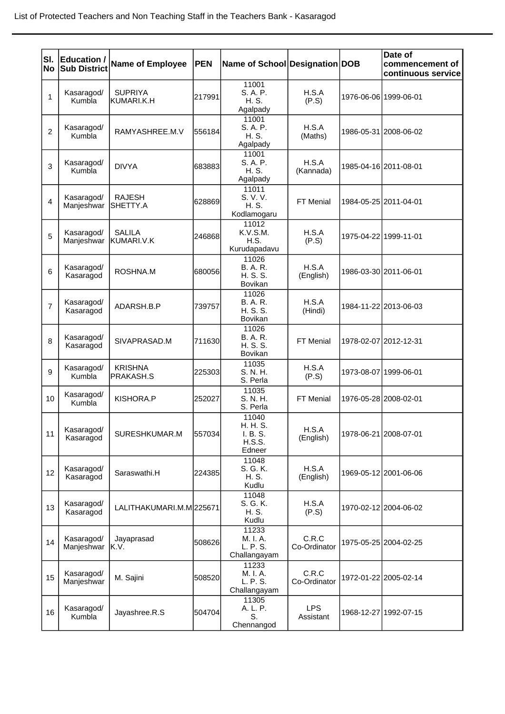| SI.<br>No      | <b>Education /</b><br><b>Sub District</b> | <b>Name of Employee</b>          | PEN    | Name of School Designation DOB                    |                         |                       | Date of<br>commencement of<br>continuous service |
|----------------|-------------------------------------------|----------------------------------|--------|---------------------------------------------------|-------------------------|-----------------------|--------------------------------------------------|
| 1              | Kasaragod/<br>Kumbla                      | <b>SUPRIYA</b><br>lkumari.k.h    | 217991 | 11001<br>S. A. P.<br>H. S.<br>Agalpady            | H.S.A<br>(P.S)          | 1976-06-06 1999-06-01 |                                                  |
| $\overline{2}$ | Kasaragod/<br>Kumbla                      | RAMYASHREE.M.V                   | 556184 | 11001<br>S. A. P.<br>H. S.<br>Agalpady            | H.S.A<br>(Maths)        |                       | 1986-05-31 2008-06-02                            |
| 3              | Kasaragod/<br>Kumbla                      | <b>DIVYA</b>                     | 683883 | 11001<br>S. A. P.<br>H. S.<br>Agalpady            | H.S.A<br>(Kannada)      | 1985-04-16 2011-08-01 |                                                  |
| 4              | Kasaragod/<br>Manjeshwar                  | <b>RAJESH</b><br><b>SHETTY.A</b> | 628869 | 11011<br>S. V. V.<br>H. S.<br>Kodlamogaru         | FT Menial               | 1984-05-25 2011-04-01 |                                                  |
| 5              | Kasaragod/<br>Manjeshwar                  | <b>SALILA</b><br>KUMARI.V.K      | 246868 | 11012<br>K.V.S.M.<br>H.S.<br>Kurudapadavu         | H.S.A<br>(P.S)          | 1975-04-22 1999-11-01 |                                                  |
| 6              | Kasaragod/<br>Kasaragod                   | ROSHNA.M                         | 680056 | 11026<br><b>B.A.R.</b><br>H. S. S.<br>Bovikan     | H.S.A<br>(English)      |                       | 1986-03-30 2011-06-01                            |
| $\overline{7}$ | Kasaragod/<br>Kasaragod                   | ADARSH.B.P                       | 739757 | 11026<br><b>B.A.R.</b><br>H. S. S.<br>Bovikan     | H.S.A<br>(Hindi)        |                       | 1984-11-22 2013-06-03                            |
| 8              | Kasaragod/<br>Kasaragod                   | SIVAPRASAD.M                     | 711630 | 11026<br><b>B.A.R.</b><br>H. S. S.<br>Bovikan     | FT Menial               | 1978-02-07 2012-12-31 |                                                  |
| 9              | Kasaragod/<br>Kumbla                      | <b>KRISHNA</b><br>IPRAKASH.S     | 225303 | 11035<br>S. N. H.<br>S. Perla                     | H.S.A<br>(P.S)          | 1973-08-07 1999-06-01 |                                                  |
| 10             | Kasaragod/<br>Kumbla                      | KISHORA.P                        | 252027 | 11035<br>S. N. H.<br>S. Perla                     | FT Menial               | 1976-05-28 2008-02-01 |                                                  |
| 11             | Kasaragod/<br>Kasaragod                   | SURESHKUMAR.M                    | 557034 | 11040<br>H. H. S.<br>I. B. S.<br>H.S.S.<br>Edneer | H.S.A<br>(English)      | 1978-06-21 2008-07-01 |                                                  |
| 12             | Kasaragod/<br>Kasaragod                   | Saraswathi.H                     | 224385 | 11048<br>S. G. K.<br>H. S.<br>Kudlu               | H.S.A<br>(English)      |                       | 1969-05-12 2001-06-06                            |
| 13             | Kasaragod/<br>Kasaragod                   | LALITHAKUMARI.M.M225671          |        | 11048<br>S. G. K.<br>H. S.<br>Kudlu               | H.S.A<br>(P.S)          |                       | 1970-02-12 2004-06-02                            |
| 14             | Kasaragod/<br>Manjeshwar                  | Jayaprasad<br>K.V.               | 508626 | 11233<br>M. I. A.<br>L. P. S.<br>Challangayam     | C.R.C<br>Co-Ordinator   |                       | 1975-05-25 2004-02-25                            |
| 15             | Kasaragod/<br>Manjeshwar                  | M. Sajini                        | 508520 | 11233<br>M. I. A.<br>L. P. S.<br>Challangayam     | C.R.C<br>Co-Ordinator   |                       | 1972-01-22 2005-02-14                            |
| 16             | Kasaragod/<br>Kumbla                      | Jayashree.R.S                    | 504704 | 11305<br>A. L. P.<br>S.<br>Chennangod             | <b>LPS</b><br>Assistant |                       | 1968-12-27 1992-07-15                            |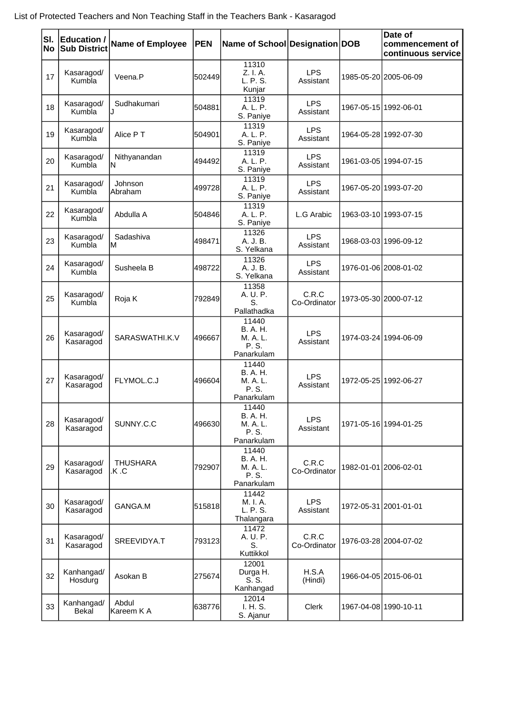| No | SI. Education /<br><b>Sub District</b> | <b>Name of Employee</b>  | <b>PEN</b> | Name of School Designation DOB                              |                         | Date of<br>commencement of<br>continuous service |
|----|----------------------------------------|--------------------------|------------|-------------------------------------------------------------|-------------------------|--------------------------------------------------|
| 17 | Kasaragod/<br>Kumbla                   | Veena.P                  | 502449     | 11310<br>Z. I. A.<br>L. P. S.<br>Kunjar                     | <b>LPS</b><br>Assistant | 1985-05-20 2005-06-09                            |
| 18 | Kasaragod/<br>Kumbla                   | Sudhakumari              | 504881     | 11319<br>A. L. P.<br>S. Paniye                              | <b>LPS</b><br>Assistant | 1967-05-15 1992-06-01                            |
| 19 | Kasaragod/<br>Kumbla                   | Alice PT                 | 504901     | 11319<br>A. L. P.<br>S. Paniye                              | <b>LPS</b><br>Assistant | 1964-05-28 1992-07-30                            |
| 20 | Kasaragod/<br>Kumbla                   | Nithyanandan<br>ΙN       | 494492     | 11319<br>A. L. P.<br>S. Paniye                              | <b>LPS</b><br>Assistant | 1961-03-05 1994-07-15                            |
| 21 | Kasaragod/<br>Kumbla                   | Johnson<br>Abraham       | 499728     | 11319<br>A. L. P.<br>S. Paniye                              | <b>LPS</b><br>Assistant | 1967-05-20 1993-07-20                            |
| 22 | Kasaragod/<br>Kumbla                   | Abdulla A                | 504846     | 11319<br>A. L. P.<br>S. Paniye                              | L.G Arabic              | 1963-03-10 1993-07-15                            |
| 23 | Kasaragod/<br>Kumbla                   | Sadashiva<br>ΙM          | 498471     | 11326<br>A. J. B.<br>S. Yelkana                             | <b>LPS</b><br>Assistant | 1968-03-03 1996-09-12                            |
| 24 | Kasaragod/<br>Kumbla                   | Susheela B               | 498722     | 11326<br>A. J. B.<br>S. Yelkana                             | <b>LPS</b><br>Assistant | 1976-01-06 2008-01-02                            |
| 25 | Kasaragod/<br>Kumbla                   | Roja K                   | 792849     | 11358<br>A. U. P.<br>S.<br>Pallathadka                      | C.R.C<br>Co-Ordinator   | 1973-05-30 2000-07-12                            |
| 26 | Kasaragod/<br>Kasaragod                | SARASWATHI.K.V           | 496667     | 11440<br><b>B. A. H.</b><br>M. A. L.<br>P. S.<br>Panarkulam | <b>LPS</b><br>Assistant | 1974-03-24 1994-06-09                            |
| 27 | Kasaragod/<br>Kasaragod                | FLYMOL.C.J               | 496604     | 11440<br><b>B.</b> A. H.<br>M. A. L.<br>P. S.<br>Panarkulam | <b>LPS</b><br>Assistant | 1972-05-25 1992-06-27                            |
| 28 | Kasaragod/<br>Kasaragod                | SUNNY.C.C                | 496630     | 11440<br><b>B.</b> A. H.<br>M. A. L.<br>P. S.<br>Panarkulam | LPS<br>Assistant        | 1971-05-16 1994-01-25                            |
| 29 | Kasaragod/<br>Kasaragod                | <b>THUSHARA</b><br>.K .C | 792907     | 11440<br><b>B.</b> A. H.<br>M. A. L.<br>P. S.<br>Panarkulam | C.R.C<br>Co-Ordinator   | 1982-01-01 2006-02-01                            |
| 30 | Kasaragod/<br>Kasaragod                | GANGA.M                  | 515818     | 11442<br>M. I. A.<br>L. P. S.<br>Thalangara                 | <b>LPS</b><br>Assistant | 1972-05-31 2001-01-01                            |
| 31 | Kasaragod/<br>Kasaragod                | SREEVIDYA.T              | 793123     | 11472<br>A. U. P.<br>S.<br>Kuttikkol                        | C.R.C<br>Co-Ordinator   | 1976-03-28 2004-07-02                            |
| 32 | Kanhangad/<br>Hosdurg                  | Asokan B                 | 275674     | 12001<br>Durga H.<br>S. S.<br>Kanhangad                     | H.S.A<br>(Hindi)        | 1966-04-05 2015-06-01                            |
| 33 | Kanhangad/<br><b>Bekal</b>             | Abdul<br>Kareem K A      | 638776     | 12014<br>I. H. S.<br>S. Ajanur                              | Clerk                   | 1967-04-08 1990-10-11                            |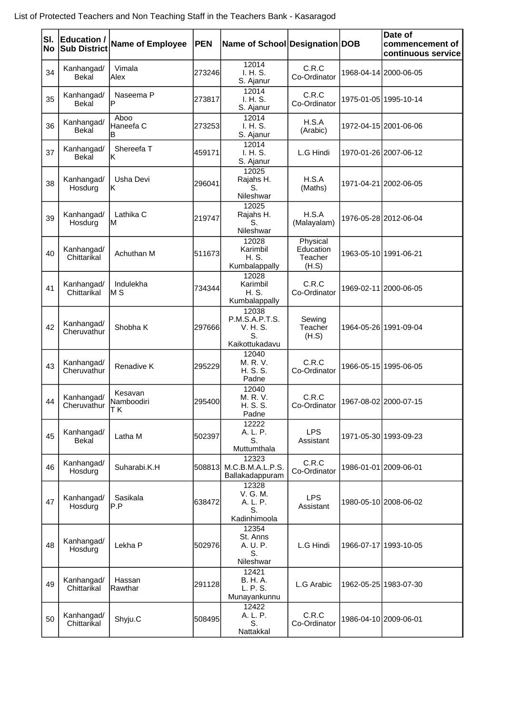| SI.<br>No | <b>Education /</b><br><b>Sub District</b> | <b>Name of Employee</b>     | <b>PEN</b> | Name of School Designation DOB                              |                                           | Date of<br>commencement of<br>continuous service |
|-----------|-------------------------------------------|-----------------------------|------------|-------------------------------------------------------------|-------------------------------------------|--------------------------------------------------|
| 34        | Kanhangad/<br>Bekal                       | Vimala<br>Alex              | 273246     | 12014<br>I. H. S.<br>S. Ajanur                              | C.R.C<br>Co-Ordinator                     | 1968-04-14 2000-06-05                            |
| 35        | Kanhangad/<br><b>Bekal</b>                | Naseema P<br>ΙP             | 273817     | 12014<br>I. H. S.<br>S. Ajanur                              | C.R.C<br>Co-Ordinator                     | 1975-01-05 1995-10-14                            |
| 36        | Kanhangad/<br><b>Bekal</b>                | Aboo<br>Haneefa C<br>в      | 273253     | 12014<br>I. H. S.<br>S. Ajanur                              | H.S.A<br>(Arabic)                         | 1972-04-15 2001-06-06                            |
| 37        | Kanhangad/<br>Bekal                       | Shereefa T<br>lΚ            | 459171     | 12014<br>I. H. S.<br>S. Ajanur                              | L.G Hindi                                 | 1970-01-26 2007-06-12                            |
| 38        | Kanhangad/<br>Hosdurg                     | Usha Devi<br>lΚ             | 296041     | 12025<br>Rajahs H.<br>S.<br>Nileshwar                       | H.S.A<br>(Maths)                          | 1971-04-21 2002-06-05                            |
| 39        | Kanhangad/<br>Hosdurg                     | Lathika C<br>M              | 219747     | 12025<br>Rajahs H.<br>S.<br>Nileshwar                       | H.S.A<br>(Malayalam)                      | 1976-05-28 2012-06-04                            |
| 40        | Kanhangad/<br>Chittarikal                 | Achuthan M                  | 511673     | 12028<br>Karimbil<br>H. S.<br>Kumbalappally                 | Physical<br>Education<br>Teacher<br>(H.S) | 1963-05-10 1991-06-21                            |
| 41        | Kanhangad/<br>Chittarikal                 | Indulekha<br>M S            | 734344     | 12028<br>Karimbil<br>H. S.<br>Kumbalappally                 | C.R.C<br>Co-Ordinator                     | 1969-02-11 2000-06-05                            |
| 42        | Kanhangad/<br>Cheruvathur                 | Shobha K                    | 297666     | 12038<br>P.M.S.A.P.T.S.<br>V. H. S.<br>S.<br>Kaikottukadavu | Sewing<br>Teacher<br>(H.S)                | 1964-05-26 1991-09-04                            |
| 43        | Kanhangad/<br>Cheruvathur                 | Renadive K                  | 295229     | 12040<br>M. R. V.<br>H. S. S.<br>Padne                      | C.R.C<br>Co-Ordinator                     | 1966-05-15 1995-06-05                            |
| 44        | Kanhangad/<br>Cheruvathur                 | Kesavan<br>Namboodiri<br>ΤK | 295400     | 12040<br>M. R. V.<br>H. S. S.<br>Padne                      | C.R.C<br>Co-Ordinator                     | 1967-08-02 2000-07-15                            |
| 45        | Kanhangad/<br>Bekal                       | Latha M                     | 502397     | 12222<br>A. L. P.<br>S.<br>Muttumthala                      | <b>LPS</b><br>Assistant                   | 1971-05-30 1993-09-23                            |
| 46        | Kanhangad/<br>Hosdurg                     | Suharabi.K.H                | 508813     | 12323<br>M.C.B.M.A.L.P.S.<br>Ballakadappuram                | C.R.C<br>Co-Ordinator                     | 1986-01-01 2009-06-01                            |
| 47        | Kanhangad/<br>Hosdurg                     | Sasikala<br>P.P             | 638472     | 12328<br>V. G. M.<br>A. L. P.<br>S.<br>Kadinhimoola         | <b>LPS</b><br>Assistant                   | 1980-05-10 2008-06-02                            |
| 48        | Kanhangad/<br>Hosdurg                     | Lekha P                     | 502976     | 12354<br>St. Anns<br>A. U. P.<br>S.<br>Nileshwar            | L.G Hindi                                 | 1966-07-17 1993-10-05                            |
| 49        | Kanhangad/<br>Chittarikal                 | Hassan<br>Rawthar           | 291128     | 12421<br>B. H. A.<br>L. P. S.<br>Munayankunnu               | L.G Arabic                                | 1962-05-25 1983-07-30                            |
| 50        | Kanhangad/<br>Chittarikal                 | Shyju.C                     | 508495     | 12422<br>A. L. P.<br>S.<br>Nattakkal                        | C.R.C<br>Co-Ordinator                     | 1986-04-10 2009-06-01                            |